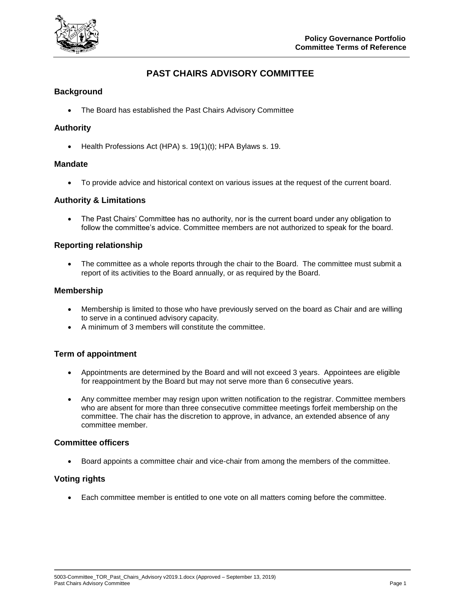

# **PAST CHAIRS ADVISORY COMMITTEE**

## **Background**

• The Board has established the Past Chairs Advisory Committee

## **Authority**

Health Professions Act (HPA) s. 19(1)(t); HPA Bylaws s. 19.

#### **Mandate**

To provide advice and historical context on various issues at the request of the current board.

#### **Authority & Limitations**

• The Past Chairs' Committee has no authority, nor is the current board under any obligation to follow the committee's advice. Committee members are not authorized to speak for the board.

#### **Reporting relationship**

• The committee as a whole reports through the chair to the Board. The committee must submit a report of its activities to the Board annually, or as required by the Board.

#### **Membership**

- Membership is limited to those who have previously served on the board as Chair and are willing to serve in a continued advisory capacity.
- A minimum of 3 members will constitute the committee.

#### **Term of appointment**

- Appointments are determined by the Board and will not exceed 3 years. Appointees are eligible for reappointment by the Board but may not serve more than 6 consecutive years.
- Any committee member may resign upon written notification to the registrar. Committee members who are absent for more than three consecutive committee meetings forfeit membership on the committee. The chair has the discretion to approve, in advance, an extended absence of any committee member.

#### **Committee officers**

Board appoints a committee chair and vice-chair from among the members of the committee.

# **Voting rights**

Each committee member is entitled to one vote on all matters coming before the committee.